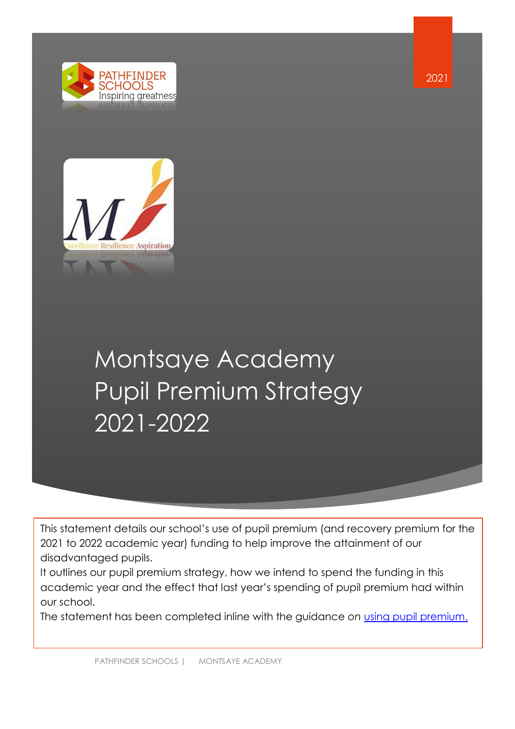



# Montsaye Academy Pupil Premium Strategy 2021-2022

This statement details our school's use of pupil premium (and recovery premium for the 2021 to 2022 academic year) funding to help improve the attainment of our disadvantaged pupils.

academic year and the effect that last year's spending of pupil premium had within It outlines our pupil premium strategy, how we intend to spend the funding in this our school.

The statement has been completed inline with the guidance *on* [using pupil premium.](https://www.gov.uk/guidance/pupil-premium-effective-use-and-accountability#online-statements)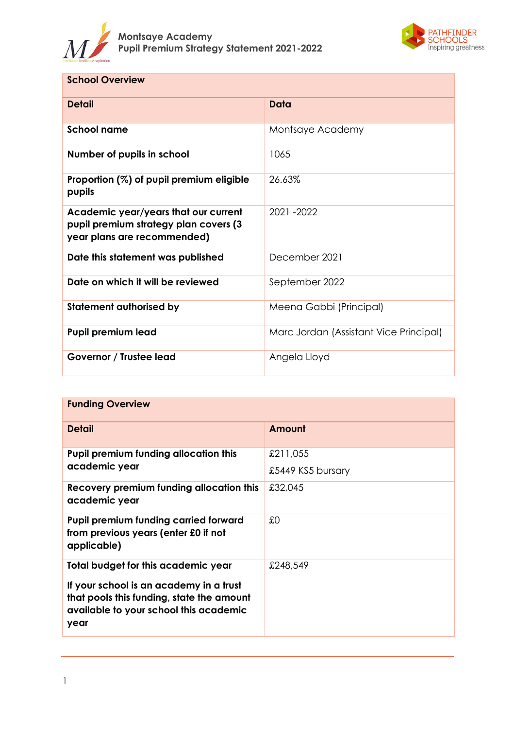



| <b>School Overview</b>                                                                                       |                                        |
|--------------------------------------------------------------------------------------------------------------|----------------------------------------|
| <b>Detail</b>                                                                                                | Data                                   |
| <b>School name</b>                                                                                           | Montsaye Academy                       |
| Number of pupils in school                                                                                   | 1065                                   |
| Proportion (%) of pupil premium eligible<br>pupils                                                           | 26.63%                                 |
| Academic year/years that our current<br>pupil premium strategy plan covers (3<br>year plans are recommended) | 2021-2022                              |
| Date this statement was published                                                                            | December 2021                          |
| Date on which it will be reviewed                                                                            | September 2022                         |
| <b>Statement authorised by</b>                                                                               | Meena Gabbi (Principal)                |
| <b>Pupil premium lead</b>                                                                                    | Marc Jordan (Assistant Vice Principal) |
| Governor / Trustee lead                                                                                      | Angela Lloyd                           |

| <b>Funding Overview</b>                                                                                                                                                       |                               |
|-------------------------------------------------------------------------------------------------------------------------------------------------------------------------------|-------------------------------|
| <b>Detail</b>                                                                                                                                                                 | Amount                        |
| <b>Pupil premium funding allocation this</b><br>academic year                                                                                                                 | £211,055<br>£5449 KS5 bursary |
| Recovery premium funding allocation this<br>academic year                                                                                                                     | £32,045                       |
| <b>Pupil premium funding carried forward</b><br>from previous years (enter £0 if not<br>applicable)                                                                           | £0                            |
| Total budget for this academic year<br>If your school is an academy in a trust<br>that pools this funding, state the amount<br>available to your school this academic<br>year | £248,549                      |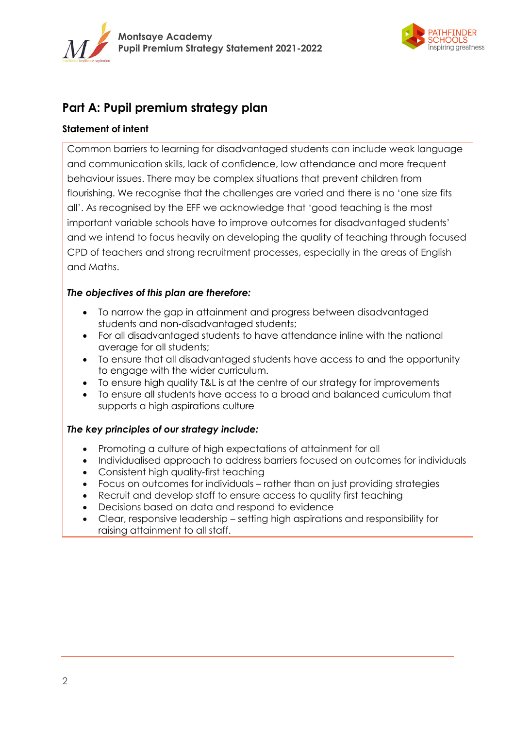



# **Part A: Pupil premium strategy plan**

# **Statement of intent**

Common barriers to learning for disadvantaged students can include weak language and communication skills, lack of confidence, low attendance and more frequent behaviour issues. There may be complex situations that prevent children from flourishing. We recognise that the challenges are varied and there is no 'one size fits all'. As recognised by the EFF we acknowledge that 'good teaching is the most important variable schools have to improve outcomes for disadvantaged students' and we intend to focus heavily on developing the quality of teaching through focused CPD of teachers and strong recruitment processes, especially in the areas of English and Maths.

# *The objectives of this plan are therefore:*

- To narrow the gap in attainment and progress between disadvantaged students and non-disadvantaged students;
- For all disadvantaged students to have attendance inline with the national average for all students;
- To ensure that all disadvantaged students have access to and the opportunity to engage with the wider curriculum.
- To ensure high quality T&L is at the centre of our strategy for improvements
- To ensure all students have access to a broad and balanced curriculum that supports a high aspirations culture

# *The key principles of our strategy include:*

- Promoting a culture of high expectations of attainment for all
- Individualised approach to address barriers focused on outcomes for individuals
- Consistent high quality-first teaching
- Focus on outcomes for individuals rather than on just providing strategies
- Recruit and develop staff to ensure access to quality first teaching
- Decisions based on data and respond to evidence
- Clear, responsive leadership setting high aspirations and responsibility for raising attainment to all staff.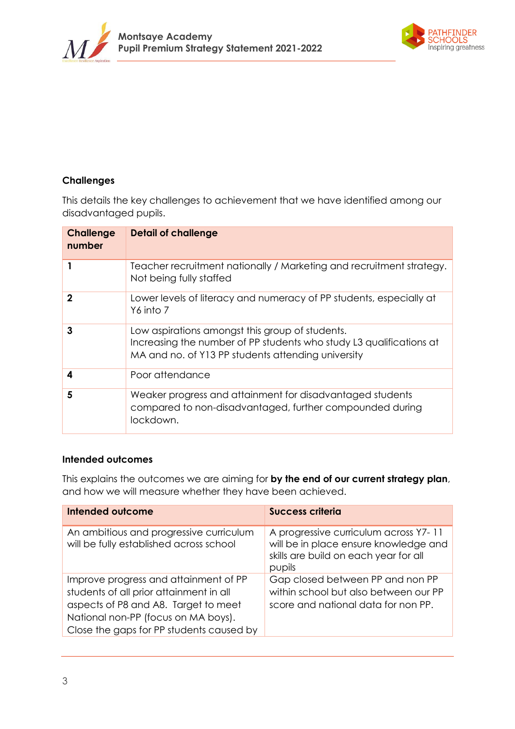



# **Challenges**

This details the key challenges to achievement that we have identified among our disadvantaged pupils.

| <b>Challenge</b><br>number | <b>Detail of challenge</b>                                                                                                                                                   |
|----------------------------|------------------------------------------------------------------------------------------------------------------------------------------------------------------------------|
|                            | Teacher recruitment nationally / Marketing and recruitment strategy.<br>Not being fully staffed                                                                              |
| $\mathbf 2$                | Lower levels of literacy and numeracy of PP students, especially at<br>Y6 into 7                                                                                             |
| 3                          | Low aspirations amongst this group of students.<br>Increasing the number of PP students who study L3 qualifications at<br>MA and no. of Y13 PP students attending university |
| 4                          | Poor attendance                                                                                                                                                              |
| 5                          | Weaker progress and attainment for disadvantaged students<br>compared to non-disadvantaged, further compounded during<br>lockdown.                                           |

# **Intended outcomes**

This explains the outcomes we are aiming for **by the end of our current strategy plan**, and how we will measure whether they have been achieved.

| <b>Intended outcome</b>                                                                                                                                                                                     | <b>Success criteria</b>                                                                                                           |
|-------------------------------------------------------------------------------------------------------------------------------------------------------------------------------------------------------------|-----------------------------------------------------------------------------------------------------------------------------------|
| An ambitious and progressive curriculum<br>will be fully established across school                                                                                                                          | A progressive curriculum across Y7-11<br>will be in place ensure knowledge and<br>skills are build on each year for all<br>pupils |
| Improve progress and attainment of PP<br>students of all prior attainment in all<br>aspects of P8 and A8. Target to meet<br>National non-PP (focus on MA boys).<br>Close the gaps for PP students caused by | Gap closed between PP and non PP<br>within school but also between our PP<br>score and national data for non PP.                  |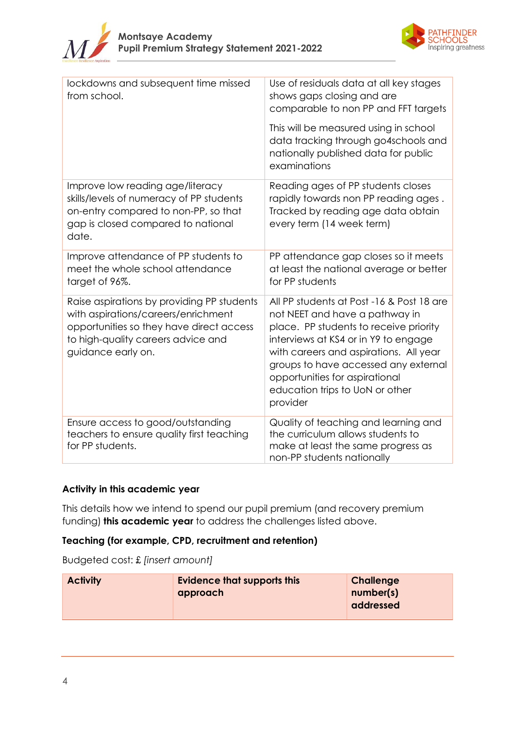



| lockdowns and subsequent time missed<br>from school.                                                                                                                                      | Use of residuals data at all key stages<br>shows gaps closing and are<br>comparable to non PP and FFT targets                                                                                                                                                                                                                    |
|-------------------------------------------------------------------------------------------------------------------------------------------------------------------------------------------|----------------------------------------------------------------------------------------------------------------------------------------------------------------------------------------------------------------------------------------------------------------------------------------------------------------------------------|
|                                                                                                                                                                                           | This will be measured using in school<br>data tracking through go4schools and<br>nationally published data for public<br>examinations                                                                                                                                                                                            |
| Improve low reading age/literacy<br>skills/levels of numeracy of PP students<br>on-entry compared to non-PP, so that<br>gap is closed compared to national<br>date.                       | Reading ages of PP students closes<br>rapidly towards non PP reading ages.<br>Tracked by reading age data obtain<br>every term (14 week term)                                                                                                                                                                                    |
| Improve attendance of PP students to<br>meet the whole school attendance<br>target of 96%.                                                                                                | PP attendance gap closes so it meets<br>at least the national average or better<br>for PP students                                                                                                                                                                                                                               |
| Raise aspirations by providing PP students<br>with aspirations/careers/enrichment<br>opportunities so they have direct access<br>to high-quality careers advice and<br>guidance early on. | All PP students at Post -16 & Post 18 are<br>not NEET and have a pathway in<br>place. PP students to receive priority<br>interviews at KS4 or in Y9 to engage<br>with careers and aspirations. All year<br>groups to have accessed any external<br>opportunities for aspirational<br>education trips to UoN or other<br>provider |
| Ensure access to good/outstanding<br>teachers to ensure quality first teaching<br>for PP students.                                                                                        | Quality of teaching and learning and<br>the curriculum allows students to<br>make at least the same progress as<br>non-PP students nationally                                                                                                                                                                                    |

# **Activity in this academic year**

This details how we intend to spend our pupil premium (and recovery premium funding) **this academic year** to address the challenges listed above.

# **Teaching (for example, CPD, recruitment and retention)**

Budgeted cost: £ *[insert amount]*

| <b>Activity</b> | <b>Evidence that supports this</b><br>approach | Challenge<br>number(s)<br>addressed |
|-----------------|------------------------------------------------|-------------------------------------|
|                 |                                                |                                     |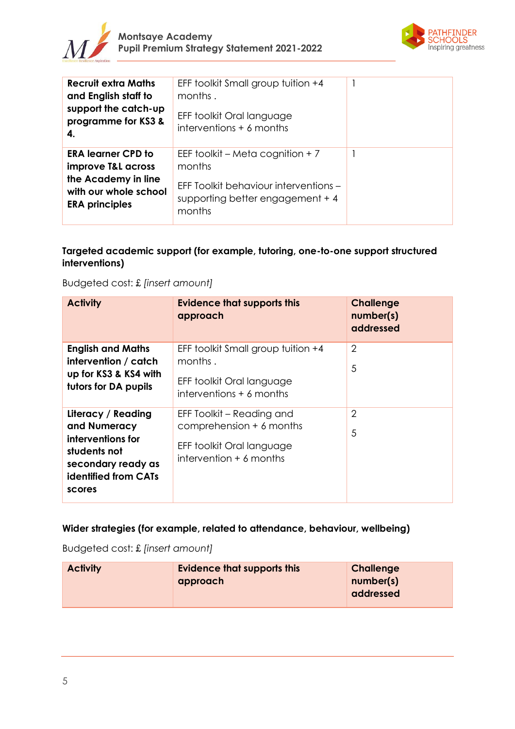



| <b>Recruit extra Maths</b><br>and English staff to<br>support the catch-up<br>programme for KS3 &<br>4.                  | EFF toolkit Small group tuition +4<br>months.<br>EFF toolkit Oral language<br>interventions + 6 months                             |  |
|--------------------------------------------------------------------------------------------------------------------------|------------------------------------------------------------------------------------------------------------------------------------|--|
| <b>ERA learner CPD to</b><br>improve T&L across<br>the Academy in line<br>with our whole school<br><b>ERA principles</b> | EEF toolkit – Meta cognition + 7<br>months<br>EFF Toolkit behaviour interventions -<br>supporting better engagement $+4$<br>months |  |

# **Targeted academic support (for example, tutoring, one-to-one support structured interventions)**

| Budgeted cost: £ [insert amount] |  |  |
|----------------------------------|--|--|
|                                  |  |  |

| <b>Activity</b>                                                                                                                        | <b>Evidence that supports this</b><br>approach                                                                    | <b>Challenge</b><br>number(s)<br>addressed |
|----------------------------------------------------------------------------------------------------------------------------------------|-------------------------------------------------------------------------------------------------------------------|--------------------------------------------|
| <b>English and Maths</b><br>intervention / catch<br>up for KS3 & KS4 with<br>tutors for DA pupils                                      | EFF toolkit Small group tuition +4<br>months.<br>EFF toolkit Oral language<br>$interventions + 6 months$          | $\overline{2}$<br>5                        |
| Literacy / Reading<br>and Numeracy<br>interventions for<br>students not<br>secondary ready as<br><b>identified from CATs</b><br>scores | EFF Toolkit – Reading and<br>comprehension $+$ 6 months<br>EFF toolkit Oral language<br>intervention $+$ 6 months | $\overline{2}$<br>5                        |

# **Wider strategies (for example, related to attendance, behaviour, wellbeing)**

Budgeted cost: £ *[insert amount]*

| <b>Activity</b> | <b>Evidence that supports this</b> | Challenge |
|-----------------|------------------------------------|-----------|
|                 | approach                           | number(s) |
|                 |                                    | addressed |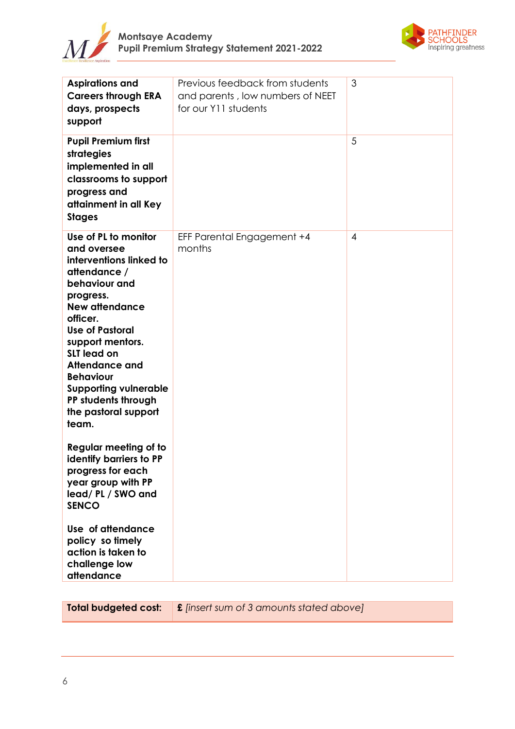



| <b>Aspirations and</b><br><b>Careers through ERA</b><br>days, prospects<br>support                                                                                                                                                                                                                                                                         | Previous feedback from students<br>and parents, low numbers of NEET<br>for our Y11 students | 3 |
|------------------------------------------------------------------------------------------------------------------------------------------------------------------------------------------------------------------------------------------------------------------------------------------------------------------------------------------------------------|---------------------------------------------------------------------------------------------|---|
| <b>Pupil Premium first</b><br>strategies<br>implemented in all<br>classrooms to support<br>progress and<br>attainment in all Key<br><b>Stages</b>                                                                                                                                                                                                          |                                                                                             | 5 |
| Use of PL to monitor<br>and oversee<br>interventions linked to<br>attendance /<br>behaviour and<br>progress.<br><b>New attendance</b><br>officer.<br><b>Use of Pastoral</b><br>support mentors.<br><b>SLT</b> lead on<br><b>Attendance and</b><br><b>Behaviour</b><br><b>Supporting vulnerable</b><br>PP students through<br>the pastoral support<br>team. | EFF Parental Engagement +4<br>months                                                        | 4 |
| Regular meeting of to<br>identify barriers to PP<br>progress for each<br>year group with PP<br>lead/PL/SWO and<br><b>SENCO</b>                                                                                                                                                                                                                             |                                                                                             |   |
| Use of attendance<br>policy so timely<br>action is taken to<br>challenge low<br>attendance                                                                                                                                                                                                                                                                 |                                                                                             |   |

**Total budgeted cost: £** *[insert sum of 3 amounts stated above]*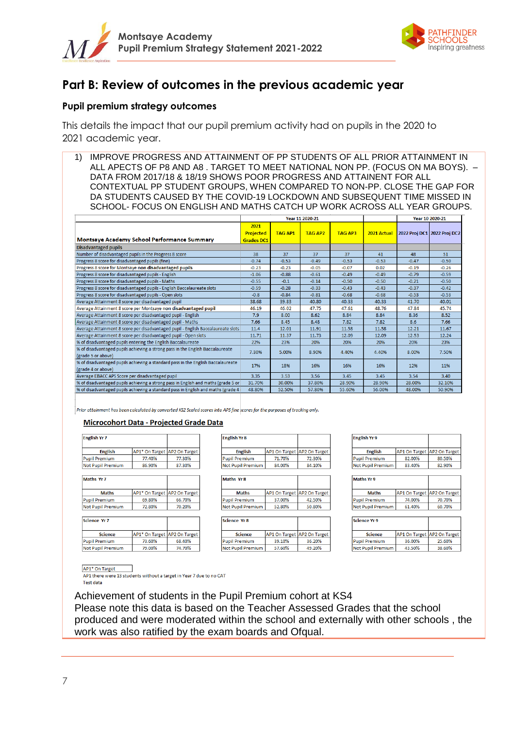



# **Part B: Review of outcomes in the previous academic year**

# **Pupil premium strategy outcomes**

This details the impact that our pupil premium activity had on pupils in the 2020 to 2021 academic year.

1) IMPROVE PROGRESS AND ATTAINMENT OF PP STUDENTS OF ALL PRIOR ATTAINMENT IN ALL APECTS OF P8 AND A8 . TARGET TO MEET NATIONAL NON PP. (FOCUS ON MA BOYS). – DATA FROM 2017/18 & 18/19 SHOWS POOR PROGRESS AND ATTAINENT FOR ALL CONTEXTUAL PP STUDENT GROUPS, WHEN COMPARED TO NON-PP. CLOSE THE GAP FOR DA STUDENTS CAUSED BY THE COVID-19 LOCKDOWN AND SUBSEQUENT TIME MISSED IN SCHOOL- FOCUS ON ENGLISH AND MATHS CATCH UP WORK ACROSS ALL YEAR GROUPS.

|                                                                                                        | Year 11 2020-21                               |                |                |                |             | Year 10 2020-21             |         |
|--------------------------------------------------------------------------------------------------------|-----------------------------------------------|----------------|----------------|----------------|-------------|-----------------------------|---------|
| Montsaye Academy School Performance Summary                                                            | 2021<br><b>Projected</b><br><b>Grades DC1</b> | <b>TAG AP1</b> | <b>TAG AP2</b> | <b>TAG AP3</b> | 2021 Actual | 2022 Proj DC1 2022 Proj DC2 |         |
| <b>Disadvantaged pupils</b>                                                                            |                                               |                |                |                |             |                             |         |
| Number of disadvantaged pupils in the Progress 8 score                                                 | 38                                            | 37             | 37             | 37             | 41          | 48                          | 51      |
| Progress 8 score for disadvantaged pupils (fine)                                                       | $-0.74$                                       | $-0.53$        | $-0.49$        | $-0.53$        | $-0.53$     | $-0.47$                     | $-0.50$ |
| Progress 8 score for Montsaye non disadvantaged pupils                                                 | $-0.23$                                       | $-0.23$        | $-0.05$        | $-0.07$        | 0.02        | $-0.19$                     | $-0.26$ |
| Progress 8 score for disadvantaged pupils - English                                                    | $-1.06$                                       | $-0.88$        | $-0.61$        | $-0.49$        | $-0.49$     | $-0.79$                     | $-0.59$ |
| Progress 8 score for disadvantaged pupils - Maths                                                      | $-0.55$                                       | $-0.1$         | $-0.14$        | $-0.50$        | $-0.50$     | $-0.21$                     | $-0.50$ |
| Progress 8 score for disadvantaged pupils - English Baccalaureate slots                                | $-0.59$                                       | $-0.28$        | $-0.33$        | $-0.43$        | $-0.43$     | $-0.37$                     | $-0.42$ |
| Progress 8 score for disadvantaged pupils - Open slots                                                 | $-0.8$                                        | $-0.84$        | $-0.81$        | $-0.68$        | $-0.68$     | $-0.53$                     | $-0.53$ |
| Average Attainment 8 score per disadvantaged pupil                                                     | 38.68                                         | 39.83          | 40.80          | 40.33          | 40.33       | 41.70                       | 40.01   |
| Average Attainment 8 score per Montsaye non disadvantaged pupil                                        | 46.19                                         | 46.02          | 47.75          | 47.61          | 48.76       | 47.84                       | 45.74   |
| Average Attainment 8 score per disadvantaged pupil - English                                           | 7.9                                           | 8.00           | 8.62           | 8.84           | 8.84        | 8.36                        | 8.52    |
| Average Attainment 8 score per disadvantaged pupil - Maths                                             | 7.66                                          | 8.45           | 8.48           | 7.82           | 7.82        | 8.6                         | 7.66    |
| Average Attainment 8 score per disadvantaged pupil - English Baccalaureate slots                       | 11.4                                          | 12.01          | 11.91          | 11.58          | 11.58       | 12.21                       | 11.67   |
| Average Attainment 8 score per disadvantaged pupil - Open slots                                        | 11.71                                         | 11.37          | 11.73          | 12.09          | 12.09       | 12.53                       | 12.24   |
| % of disadvantaged pupils entering the English Baccalaureate                                           | 22%                                           | 23%            | 20%            | 20%            | 20%         | 20%                         | 23%     |
| % of disadvantaged pupils achieving a strong pass in the English Baccalaureate<br>(grade 5 or above)   | 7.30%                                         | 5.00%          | 8.90%          | 4.40%          | 4.40%       | 8.00%                       | 7.50%   |
| % of disadvantaged pupils achieving a standard pass in the English Baccalaureate<br>(grade 4 or above) | 17%                                           | 18%            | 16%            | 16%            | 16%         | 12%                         | 11%     |
| Average EBACC APS Score per disadvantaged pupil                                                        | 3.35                                          | 3.53           | 3.56           | 3.45           | 3.45        | 3.54                        | 3.40    |
| % of disadvantaged pupils achieving a strong pass in English and maths (grade 5 or                     | 31.70%                                        | 30.00%         | 37.80%         | 28.90%         | 28.90%      | 28.00%                      | 32.10%  |
| % of disadvantaged pupils achieving a standard pass in English and maths (grade 4)                     | 48.80%                                        | 52.50%         | 57.80%         | 55.60%         | 56.00%      | 48.00%                      | 50.90%  |

Prior attainment has been calculated by converted KS2 Scaled scores into APS fine scores for the purposes of tracking only

**Coolish McQ** 

#### **Microcohort Data - Projected Grade Data**

| <b>English Yr 7</b>      |                |                      |  |  |  |  |  |  |
|--------------------------|----------------|----------------------|--|--|--|--|--|--|
| <b>English</b>           | AP1* On Target | <b>AP2 On Target</b> |  |  |  |  |  |  |
| <b>Pupil Premium</b>     | 77.40%         | 77.30%               |  |  |  |  |  |  |
| <b>Not Pupil Premium</b> | 86.90%         | 87.30%               |  |  |  |  |  |  |
|                          |                |                      |  |  |  |  |  |  |
| Maths Yr 7               |                |                      |  |  |  |  |  |  |
| <b>Maths</b>             | AP1* On Target | <b>AP2 On Target</b> |  |  |  |  |  |  |
| <b>Pupil Premium</b>     | 69.80%         | 66.70%               |  |  |  |  |  |  |
| <b>Not Pupil Premium</b> | 72.80%         | 70.20%               |  |  |  |  |  |  |
|                          |                |                      |  |  |  |  |  |  |
| Science Yr 7             |                |                      |  |  |  |  |  |  |
| <b>Science</b>           | AP1* On Target | <b>AP2 On Target</b> |  |  |  |  |  |  |
| <b>Pupil Premium</b>     | 73.60%         | 68.40%               |  |  |  |  |  |  |
| <b>Not Pupil Premium</b> | 79.00%         |                      |  |  |  |  |  |  |

| спднэн нэ                |                             |                      |  |  |  |  |  |
|--------------------------|-----------------------------|----------------------|--|--|--|--|--|
| <b>English</b>           | AP1 On Target AP2 On Target |                      |  |  |  |  |  |
| <b>Pupil Premium</b>     | 71.70%                      | 72.30%               |  |  |  |  |  |
| <b>Not Pupil Premium</b> | 84.00%                      | 84.10%               |  |  |  |  |  |
| Maths Yr 8               |                             |                      |  |  |  |  |  |
| <b>Maths</b>             | <b>AP1 On Target</b>        | <b>AP2 On Target</b> |  |  |  |  |  |
| <b>Pupil Premium</b>     | 37.00%                      | 42.50%               |  |  |  |  |  |
| <b>Not Pupil Premium</b> | 52.80%                      | 50.80%               |  |  |  |  |  |
| <b>Science Yr 8</b>      |                             |                      |  |  |  |  |  |
| <b>Science</b>           | AP1 On Target               | <b>AP2 On Target</b> |  |  |  |  |  |
| <b>Pupil Premium</b>     | 39.10%                      | 36.20%               |  |  |  |  |  |
| <b>Not Pupil Premium</b> | 57.60%                      | 49.20%               |  |  |  |  |  |

| <b>English</b>           | AP1 On Target AP2 On Target |        |
|--------------------------|-----------------------------|--------|
| <b>Pupil Premium</b>     | 82.00%                      | 80.50% |
| <b>Not Pupil Premium</b> | 83.40%                      | 82.90% |

| <b>Maths</b>             | AP1 On Target AP2 On Target |        |  |
|--------------------------|-----------------------------|--------|--|
| <b>Pupil Premium</b>     | 74.00%                      | 70.70% |  |
| <b>Not Pupil Premium</b> | 61.40%                      | 60.70% |  |
| Science Yr 9             |                             |        |  |
| <b>Science</b>           | AP1 On Target AP2 On Target |        |  |
|                          |                             |        |  |

| Pupil Premium.    | 36.00% | 25.60% |
|-------------------|--------|--------|
| Not Pupil Premium | 43.50% | 38.60% |

AP1\* On Target

AP1 there were 13 students without a target in Year 7 due to no CAT **Test data** 

Achievement of students in the Pupil Premium cohort at KS4 Please note this data is based on the Teacher Assessed Grades that the school produced and were moderated within the school and externally with other schools , the work was also ratified by the exam boards and Ofqual.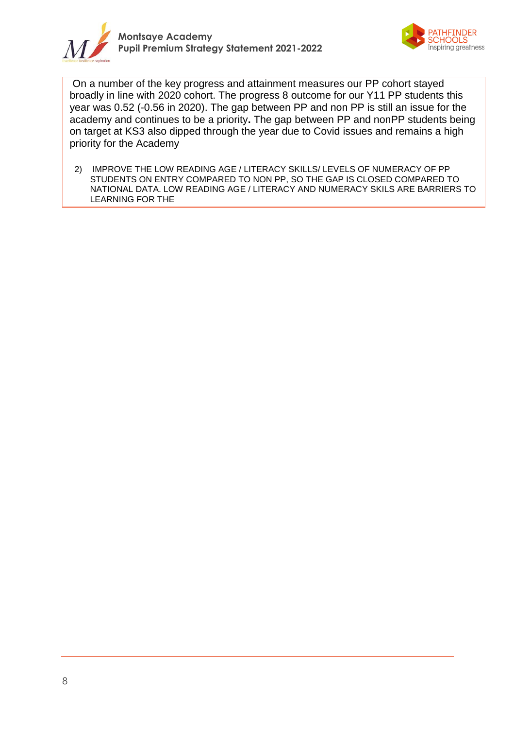



On a number of the key progress and attainment measures our PP cohort stayed broadly in line with 2020 cohort. The progress 8 outcome for our Y11 PP students this year was 0.52 (-0.56 in 2020). The gap between PP and non PP is still an issue for the academy and continues to be a priority**.** The gap between PP and nonPP students being on target at KS3 also dipped through the year due to Covid issues and remains a high priority for the Academy

2) IMPROVE THE LOW READING AGE / LITERACY SKILLS/ LEVELS OF NUMERACY OF PP STUDENTS ON ENTRY COMPARED TO NON PP, SO THE GAP IS CLOSED COMPARED TO NATIONAL DATA. LOW READING AGE / LITERACY AND NUMERACY SKILS ARE BARRIERS TO LEARNING FOR THE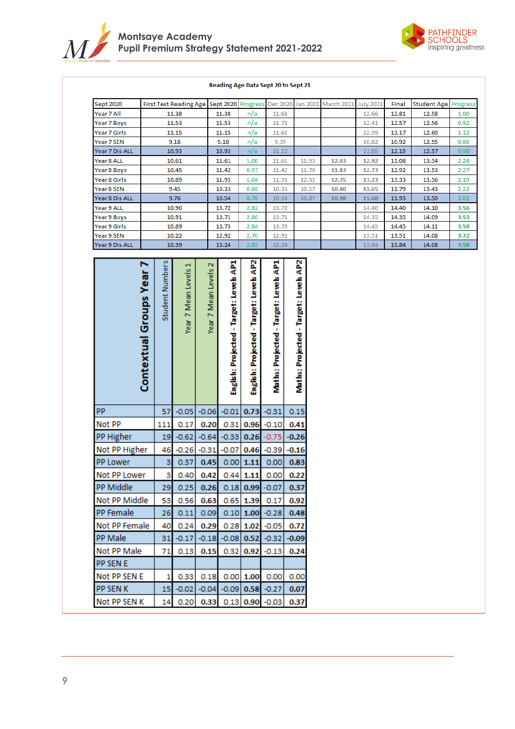



#### Reading Age Data Sept 20 to Sept 21

| Sept 2020                  |                          |                 | <b>First Test Reading Age</b> |                    | Sept 2020                               | Progress                             | Dec 2020                          | Jan 2021                          | March 2021     | <b>July 2021</b> | Final          | <b>Student Age</b> | Progress     |
|----------------------------|--------------------------|-----------------|-------------------------------|--------------------|-----------------------------------------|--------------------------------------|-----------------------------------|-----------------------------------|----------------|------------------|----------------|--------------------|--------------|
| Year 7 All                 |                          |                 | 11.38                         |                    | 11.38                                   | n/a                                  | 11.68                             |                                   |                | 12.66            | 12.81          | 12.58              | 1.00         |
| Year 7 Boys                |                          |                 | 11.53                         |                    | 11.53                                   | n/a                                  | 11.73                             |                                   |                | 12.41            | 12.57          | 12.56              | 0.92         |
| Year 7 Girls               |                          |                 | 11.15                         |                    | 11.15                                   | n/a                                  | 11.61                             |                                   |                | 12.99            | 13.17          | 12.60              | 1.12         |
| Year 7 SEN                 |                          |                 | 9.18                          |                    | 9.18                                    | n/a                                  | 9.39                              |                                   |                | 10.82            | 10.92          | 12.55              | 0.86         |
| Year 7 Dis ALL             |                          |                 | 10.93                         |                    | 10.93                                   | n/a                                  | 11.12                             |                                   |                | 11.85            | 12.15          | 12.57              | 0.98         |
| Year 8 ALL                 |                          |                 | 10.61                         |                    | 11.61                                   | 1.00                                 | 11.61                             | 11.93                             | 12.03          | 12.92            | 13.08          | 13.54              | 2.24         |
| Year 8 Boys                |                          |                 | 10.45                         |                    | 11.42                                   | 0.97                                 | 11.42                             | 11.70                             | 11.83          | 12.73            | 12.92          | 13.53              | 2.27         |
| Year 8 Girls<br>Year 8 SEN |                          |                 | 10.89<br>9.45                 |                    | 11.93<br>10.33                          | 1.04<br>0.88                         | 11.93<br>10.33                    | 12.32<br>10.57                    | 12.35<br>10.80 | 13.23<br>11.65   | 13.33<br>11.79 | 13.56<br>13.43     | 2.19<br>2.22 |
| Year 8 Dis ALL             |                          |                 | 9.76                          |                    | 10.54                                   | 0.78                                 | 10.54                             | 10.87                             | 10.98          | 11.68            | 11.93          | 13.50              | 2.01         |
| Year 9 ALL                 |                          |                 | 10.90                         |                    | 13.72                                   | 2.82                                 | 13.72                             |                                   |                | 14.40            | 14.40          | 14.10              | 3.56         |
| Year 9 Boys                |                          |                 | 10.91                         |                    | 13.71                                   | 2.80                                 | 13.71                             |                                   |                | 14.35            | 14.35          | 14.09              | 3.53         |
| Year 9 Girls               |                          |                 | 10.89                         |                    | 13.73                                   | 2.84                                 | 13.73                             |                                   |                | 14.45            | 14.45          | 14.11              | 3.59         |
| Year 9 SEN                 |                          |                 | 10.22                         |                    | 12.92                                   | 2.70                                 | 12.92                             |                                   |                | 13.51            | 13.51          | 14.08              | 3.72         |
| Year 9 Dis ALL             |                          |                 | 10.39                         |                    | 13.24                                   | 2.85                                 | 13.24                             |                                   |                | 13.84            | 13.84          | 14.08              | 3.58         |
|                            | Contextual Groups Year 7 | Student Numbers | Year 7 Mean Levels            | Year 7 Mean Levels | English: Projected - Target: Levels AP1 | English: Projected - Target: Levels  | Maths: Projected - Target: Levels | Maths: Projected - Target: Levels |                |                  |                |                    |              |
| PP                         |                          | 57              | $-0.05$                       | $-0.06$            | $-0.01$                                 | 0.73                                 | $-0.31$                           | 0.15                              |                |                  |                |                    |              |
| Not PP                     |                          | 111             | 0.17                          | 0.20               | 0.31                                    | 0.96                                 | $-0.10$                           | 0.41                              |                |                  |                |                    |              |
| PP Higher                  |                          | 19              | $-0.62$                       | $-0.64$            | $-0.33$                                 | 0.26                                 | $-0.75$                           | $-0.26$                           |                |                  |                |                    |              |
| Not PP Higher              |                          | 46              | $-0.26$                       | $-0.31$            | $-0.07$                                 | 0.46                                 | $-0.39$                           | $-0.16$                           |                |                  |                |                    |              |
| <b>PP Lower</b>            |                          | 3               | 0.37                          | 0.45               | 0.00                                    | 1.11                                 | 0.00                              | 0.83                              |                |                  |                |                    |              |
| Not PP Lower               |                          | 3               | 0.40                          | 0.42               | 0.44                                    | 1.11                                 | 0.00                              | 0.22                              |                |                  |                |                    |              |
| PP Middle                  |                          |                 |                               |                    |                                         | 29 0.25 0.26 0.18 0.99 -0.07 0.37    |                                   |                                   |                |                  |                |                    |              |
| Not PP Middle              |                          | 53              | $0.56$ 0.63                   |                    |                                         | $0.65$ 1.39 0.17                     |                                   | 0.92                              |                |                  |                |                    |              |
| PP Female                  |                          | 26              | 0.11                          |                    |                                         | $0.09$ 0.10 1.00 -0.28               |                                   | 0.48                              |                |                  |                |                    |              |
| Not PP Female              |                          | 40              |                               |                    |                                         | $0.24$ 0.29 0.28 1.02 -0.05 0.72     |                                   |                                   |                |                  |                |                    |              |
| PP Male                    |                          | 31              | $-0.17$                       |                    |                                         | $-0.18$ $-0.08$ 0.52 $-0.32$ $-0.09$ |                                   |                                   |                |                  |                |                    |              |
| Not PP Male                |                          | 71              | 0.13                          | 0.15               |                                         | $0.32$ 0.92 -0.13                    |                                   | 0.24                              |                |                  |                |                    |              |
| <b>PP SEN E</b>            |                          |                 |                               |                    |                                         |                                      |                                   |                                   |                |                  |                |                    |              |
|                            |                          |                 |                               |                    |                                         |                                      |                                   |                                   |                |                  |                |                    |              |
| Not PP SEN E               |                          | 1.              |                               |                    |                                         | $0.33$ 0.18 0.00 1.00 0.00 0.00      |                                   |                                   |                |                  |                |                    |              |
| <b>PP SEN K</b>            |                          |                 |                               |                    |                                         | 15 -0.02 -0.04 -0.09 0.58 -0.27      |                                   | 0.07                              |                |                  |                |                    |              |
| Not PP SEN K               |                          | 14              | 0.20                          | 0.33               |                                         | $0.13$ 0.90 -0.03 0.37               |                                   |                                   |                |                  |                |                    |              |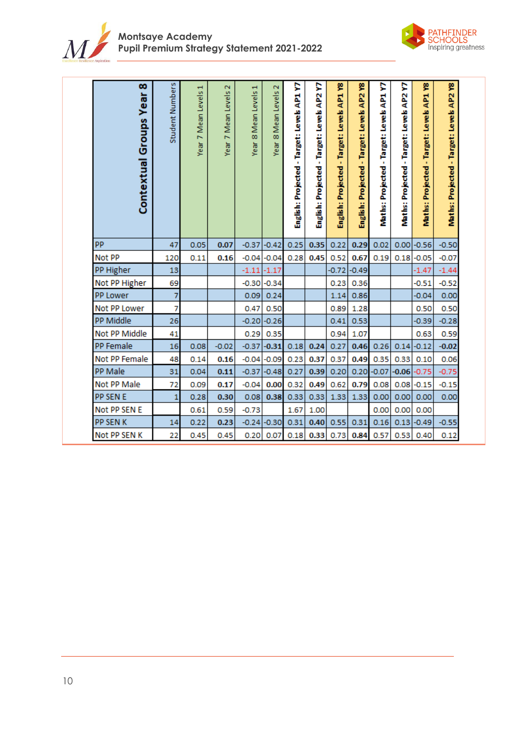



| œ<br>Contextual Groups Year | Student Numbers | Year 7 Mean Levels 1 | 7 Mean Levels 2<br>Year | 8 Mean Levels 1<br>Year | 8 Mean Levels 2<br>Year | ç<br>English: Projected - Target: Levels AP1 | ŗ,<br>AP <sub>2</sub><br>English: Projected - Target: Levels | ۴<br>AP1<br>English: Projected - Target: Levels | ۴<br>AP <sub>2</sub><br>-Target: Levels<br>English: Projected | ç<br>AP1<br>Target: Levels<br><b>Maths: Projected -</b> | ç<br>AP2<br>Target: Levels<br><b>Maths: Projected</b> | ۴<br>AP1<br>Maths: Projected - Target: Levels | Maths: Projected - Target: Levels AP2 Y8 |
|-----------------------------|-----------------|----------------------|-------------------------|-------------------------|-------------------------|----------------------------------------------|--------------------------------------------------------------|-------------------------------------------------|---------------------------------------------------------------|---------------------------------------------------------|-------------------------------------------------------|-----------------------------------------------|------------------------------------------|
| PP                          | 47              | 0.05                 | 0.07                    | $-0.37$                 | $-0.42$                 | 0.25                                         | 0.35                                                         | 0.22                                            | 0.29                                                          | 0.02                                                    |                                                       | $0.00$ -0.56                                  | $-0.50$                                  |
| Not PP                      | 120             | 0.11                 | 0.16                    | $-0.04$                 | $-0.04$                 | 0.28                                         | 0.45                                                         | 0.52                                            | 0.67                                                          | 0.19                                                    | 0.18                                                  | $-0.05$                                       | $-0.07$                                  |
| PP Higher                   | 13              |                      |                         | $-1.11$                 | $-1.17$                 |                                              |                                                              | $-0.72$                                         | $-0.49$                                                       |                                                         |                                                       | $-1.47$                                       | $-1.44$                                  |
| Not PP Higher               | 69              |                      |                         | $-0.30$                 | $-0.34$                 |                                              |                                                              | 0.23                                            | 0.36                                                          |                                                         |                                                       | $-0.51$                                       | $-0.52$                                  |
| PP Lower                    | 7               |                      |                         | 0.09                    | 0.24                    |                                              |                                                              | 1.14                                            | 0.86                                                          |                                                         |                                                       | $-0.04$                                       | 0.00                                     |
| Not PP Lower                | 7               |                      |                         | 0.47                    | 0.50                    |                                              |                                                              | 0.89                                            | 1.28                                                          |                                                         |                                                       | 0.50                                          | 0.50                                     |
| PP Middle                   | 26              |                      |                         | $-0.20$                 | $-0.26$                 |                                              |                                                              | 0.41                                            | 0.53                                                          |                                                         |                                                       | $-0.39$                                       | $-0.28$                                  |
| Not PP Middle               | 41              |                      |                         | 0.29                    | 0.35                    |                                              |                                                              | 0.94                                            | 1.07                                                          |                                                         |                                                       | 0.63                                          | 0.59                                     |
| PP Female                   | 16              | 0.08                 | $-0.02$                 | $-0.37$                 | $-0.31$                 | 0.18                                         | 0.24                                                         | 0.27                                            | 0.46                                                          | 0.26                                                    | 0.14                                                  | $-0.12$                                       | $-0.02$                                  |
| Not PP Female               | 48              | 0.14                 | 0.16                    | $-0.04$                 | $-0.09$                 | 0.23                                         | 0.37                                                         | 0.37                                            | 0.49                                                          | 0.35                                                    | 0.33                                                  | 0.10                                          | 0.06                                     |
| PP Male                     | 31              | 0.04                 | 0.11                    | $-0.37$                 | $-0.48$                 | 0.27                                         | 0.39                                                         | 0.20                                            | 0.20                                                          | $-0.07$                                                 | $-0.06$                                               | $-0.75$                                       | $-0.75$                                  |
| Not PP Male                 | 72              | 0.09                 | 0.17                    | $-0.04$                 | 0.00                    | 0.32                                         | 0.49                                                         | 0.62                                            | 0.79                                                          | 0.08                                                    | 0.08                                                  | $-0.15$                                       | $-0.15$                                  |
| PP SEN E                    | 1               | 0.28                 | 0.30                    | 0.08                    | 0.38                    | 0.33                                         | 0.33                                                         | 1.33                                            | 1.33                                                          | 0.00                                                    | 0.00                                                  | 0.00                                          | 0.00                                     |
| Not PP SEN E                |                 | 0.61                 | 0.59                    | $-0.73$                 |                         | 1.67                                         | 1.00                                                         |                                                 |                                                               | 0.00                                                    | 0.00                                                  | 0.00                                          |                                          |
| PP SEN K                    | 14              | 0.22                 | 0.23                    | $-0.24$                 | $-0.30$                 | 0.31                                         | 0.40                                                         | 0.55                                            | 0.31                                                          | 0.16                                                    | 0.13                                                  | $-0.49$                                       | $-0.55$                                  |
| Not PP SEN K                | 22              | 0.45                 | 0.45                    | 0.20                    | 0.07                    | 0.18                                         | 0.33                                                         | 0.73                                            | 0.84                                                          | 0.57                                                    | 0.53                                                  | 0.40                                          | 0.12                                     |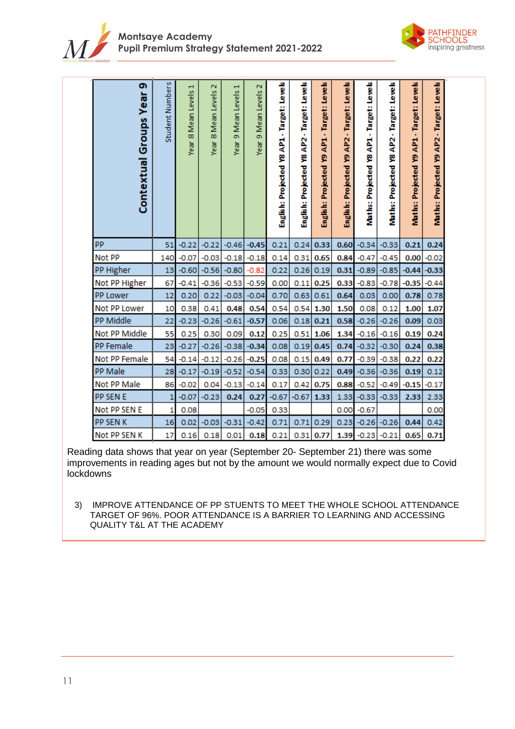



| თ<br>Contextual Groups Year | Student Numbers | Year 8 Mean Levels 1 | Ν<br>8 Mean Levels<br>Year | Н<br>Mean Levels<br>ö<br>Year | Ν<br>Mean Levels<br>ō<br>Year | English: Projected Y8 AP1 - Target: Levels | English: Projected Y8 AP2 - Target: Levels | English: Projected Y9 AP1 - Target: Levels | English: Projected Y9 AP2 - Target: Levels | Maths: Projected Y8 AP1 - Target: Levels | Maths: Projected Y8 AP2 - Target: Levels | Maths: Projected Y9 AP1 - Target: Levels | Maths: Projected Y9 AP2 - Target: Levels |
|-----------------------------|-----------------|----------------------|----------------------------|-------------------------------|-------------------------------|--------------------------------------------|--------------------------------------------|--------------------------------------------|--------------------------------------------|------------------------------------------|------------------------------------------|------------------------------------------|------------------------------------------|
| PP                          | 51              | $-0.22$              | $-0.22$                    | $-0.46$                       | $-0.45$                       | 0.21                                       | 0.24                                       | 0.33                                       | 0.60                                       | $-0.34$                                  | $-0.33$                                  | 0.21                                     | 0.24                                     |
| Not PP                      | 140             | $-0.07$              | $-0.03$                    | $-0.18$                       | $-0.18$                       | 0.14                                       | 0.31                                       | 0.65                                       | 0.84                                       | $-0.47$                                  | $-0.45$                                  | 0.00                                     | $-0.02$                                  |
| PP Higher                   | 13              | $-0.60$              | $-0.56$                    | $-0.80$                       | $-0.82$                       | 0.22                                       | 0.26                                       | 0.19                                       | 0.31                                       | $-0.89$                                  | $-0.85$                                  | $-0.44$                                  | $-0.33$                                  |
| Not PP Higher               | 67              | $-0.41$              | $-0.36$                    | $-0.53$                       | $-0.59$                       | 0.00                                       | 0.11                                       | 0.25                                       | 0.33                                       | $-0.83$                                  | $-0.78$                                  | $-0.35$                                  | $-0.44$                                  |
| PP Lower                    | 12              | 0.20                 | 0.22                       | $-0.03$                       | $-0.04$                       | 0.70                                       | 0.63                                       | 0.61                                       | 0.64                                       | 0.03                                     | 0.00                                     | 0.78                                     | 0.78                                     |
| Not PP Lower                | 10              | 0.38                 | 0.41                       | 0.48                          | 0.54                          | 0.54                                       | 0.54                                       | 1.30                                       | 1.50                                       | 0.08                                     | 0.12                                     | 1.00                                     | 1.07                                     |
| PP Middle                   | 22              | $-0.23$              | $-0.26$                    | $-0.61$                       | $-0.57$                       | 0.06                                       | 0.18                                       | 0.21                                       | 0.58                                       | $-0.26$                                  | $-0.26$                                  | 0.09                                     | 0.03                                     |
| Not PP Middle               | 55              | 0.25                 | 0.30                       | 0.09                          | 0.12                          | 0.25                                       | 0.51                                       | 1.06                                       | 1.34                                       | $-0.16$                                  | $-0.16$                                  | 0.19                                     | 0.24                                     |
| PP Female                   | 23              | $-0.27$              | $-0.26$                    | $-0.38$                       | $-0.34$                       | 0.08                                       | 0.19                                       | 0.45                                       | 0.74                                       | $-0.32$                                  | $-0.30$                                  | 0.24                                     | 0.38                                     |
| Not PP Female               | 54              | $-0.14$              | $-0.12$                    | $-0.26$                       | $-0.25$                       | 0.08                                       | 0.15                                       | 0.49                                       | 0.77                                       | $-0.39$                                  | $-0.38$                                  | 0.22                                     | 0.22                                     |
| PP Male                     | 28              | $-0.17$              | $-0.19$                    | $-0.52$                       | $-0.54$                       | 0.33                                       | 0.30                                       | 0.22                                       | 0.49                                       | $-0.36$                                  | $-0.36$                                  | 0.19                                     | 0.12                                     |
| Not PP Male                 | 86              | $-0.02$              | 0.04                       | $-0.13$                       | $-0.14$                       | 0.17                                       | 0.42                                       | 0.75                                       | 0.88                                       | $-0.52$                                  | $-0.49$                                  | $-0.15$                                  | $-0.17$                                  |
| PP SEN E                    | 1               | $-0.07$              | $-0.23$                    | 0.24                          | 0.27                          | $-0.67$                                    | $-0.67$                                    | 1.33                                       | 1.33                                       | $-0.33$                                  | $-0.33$                                  | 2.33                                     | 2.33                                     |
| Not PP SEN E                | 1               | 0.08                 |                            |                               | $-0.05$                       | 0.33                                       |                                            |                                            | 0.00                                       | $-0.67$                                  |                                          |                                          | 0.00                                     |
| PP SEN K                    | 16              | 0.02                 | $-0.03$                    | $-0.31$                       | $-0.42$                       | 0.71                                       | 0.71                                       | 0.29                                       | 0.23                                       | $-0.26$                                  | $-0.26$                                  | 0.44                                     | 0.42                                     |
| Not PP SEN K                | 17              | 0.16                 | 0.18                       | 0.01                          | 0.18                          | 0.21                                       | 0.31                                       | 0.77                                       | 1.39                                       | $-0.23$                                  | $-0.21$                                  | 0.65                                     | 0.71                                     |

Reading data shows that year on year (September 20- September 21) there was some improvements in reading ages but not by the amount we would normally expect due to Covid lockdowns

3) IMPROVE ATTENDANCE OF PP STUENTS TO MEET THE WHOLE SCHOOL ATTENDANCE TARGET OF 96%. POOR ATTENDANCE IS A BARRIER TO LEARNING AND ACCESSING QUALITY T&L AT THE ACADEMY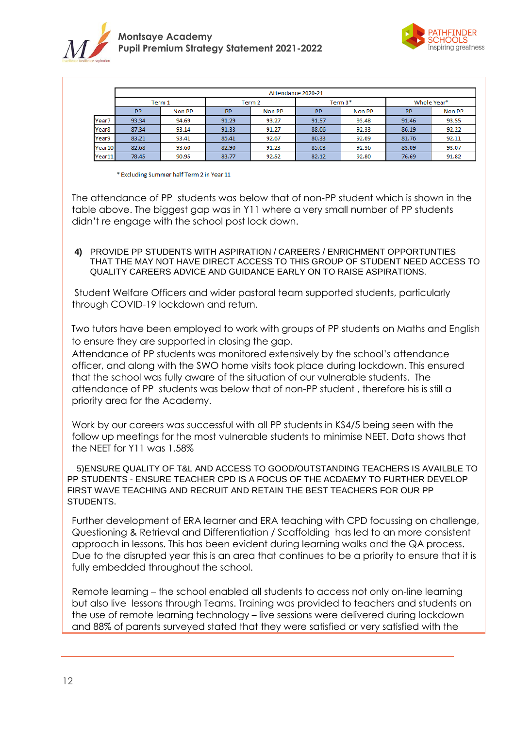



|                   | Attendance 2020-21 |        |       |        |           |         |             |        |  |  |
|-------------------|--------------------|--------|-------|--------|-----------|---------|-------------|--------|--|--|
|                   |                    | Term 1 |       | Term 2 |           | Term 3* | Whole Year* |        |  |  |
|                   | <b>PP</b>          | Non PP | PP    | Non PP | <b>PP</b> | Non PP  | PP          | Non PP |  |  |
| Year7             | 93.34              | 94.69  | 91.29 | 93.27  | 91.57     | 93.48   | 91.46       | 93.55  |  |  |
| Year <sub>8</sub> | 87.34              | 93.14  | 91.33 | 91.27  | 88.06     | 92.33   | 86.19       | 92.22  |  |  |
| Year9             | 83.21              | 93.41  | 85.41 | 92.67  | 80.33     | 92.69   | 81.76       | 92.11  |  |  |
| Year10            | 82.68              | 93.60  | 82.90 | 91.23  | 85.03     | 92.36   | 83.09       | 93.07  |  |  |
| Year11            | 78.45              | 90.95  | 83.77 | 92.52  | 82.12     | 92.80   | 76.69       | 91.82  |  |  |

\* Excluding Summer half Term 2 in Year 11

The attendance of PP students was below that of non-PP student which is shown in the table above. The biggest gap was in Y11 where a very small number of PP students didn't re engage with the school post lock down.

### **4)** PROVIDE PP STUDENTS WITH ASPIRATION / CAREERS / ENRICHMENT OPPORTUNTIES THAT THE MAY NOT HAVE DIRECT ACCESS TO THIS GROUP OF STUDENT NEED ACCESS TO QUALITY CAREERS ADVICE AND GUIDANCE EARLY ON TO RAISE ASPIRATIONS.

Student Welfare Officers and wider pastoral team supported students, particularly through COVID-19 lockdown and return.

Two tutors have been employed to work with groups of PP students on Maths and English to ensure they are supported in closing the gap.

Attendance of PP students was monitored extensively by the school's attendance officer, and along with the SWO home visits took place during lockdown. This ensured that the school was fully aware of the situation of our vulnerable students. The attendance of PP students was below that of non-PP student , therefore his is still a priority area for the Academy.

Work by our careers was successful with all PP students in KS4/5 being seen with the follow up meetings for the most vulnerable students to minimise NEET. Data shows that the NEET for Y11 was 1.58%

 5)ENSURE QUALITY OF T&L AND ACCESS TO GOOD/OUTSTANDING TEACHERS IS AVAILBLE TO PP STUDENTS - ENSURE TEACHER CPD IS A FOCUS OF THE ACDAEMY TO FURTHER DEVELOP FIRST WAVE TEACHING AND RECRUIT AND RETAIN THE BEST TEACHERS FOR OUR PP STUDENTS.

Further development of ERA learner and ERA teaching with CPD focussing on challenge, Questioning & Retrieval and Differentiation / Scaffolding has led to an more consistent approach in lessons. This has been evident during learning walks and the QA process. Due to the disrupted year this is an area that continues to be a priority to ensure that it is fully embedded throughout the school.

Remote learning – the school enabled all students to access not only on-line learning but also live lessons through Teams. Training was provided to teachers and students on the use of remote learning technology – live sessions were delivered during lockdown and 88% of parents surveyed stated that they were satisfied or very satisfied with the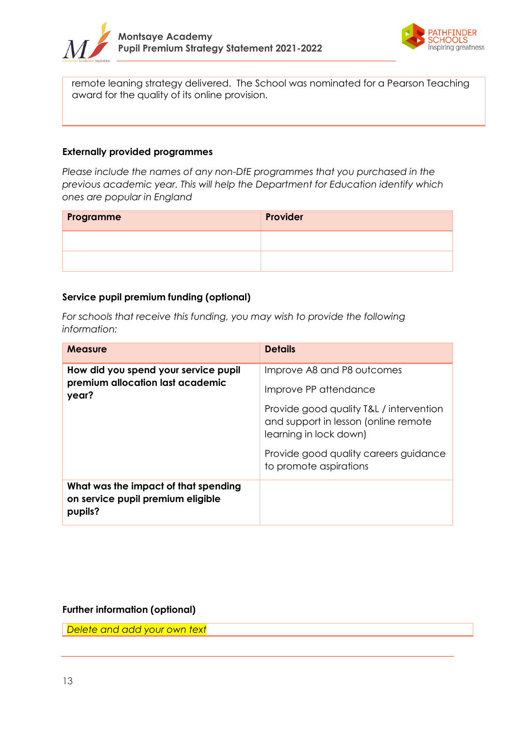



remote leaning strategy delivered. The School was nominated for a Pearson Teaching award for the quality of its online provision.

## **Externally provided programmes**

*Please include the names of any non-DfE programmes that you purchased in the previous academic year. This will help the Department for Education identify which ones are popular in England*

| Programme | Provider |
|-----------|----------|
|           |          |
|           |          |

# **Service pupil premium funding (optional)**

*For schools that receive this funding, you may wish to provide the following information:* 

| <b>Measure</b>                                                                       | <b>Details</b>                                                                                            |
|--------------------------------------------------------------------------------------|-----------------------------------------------------------------------------------------------------------|
| How did you spend your service pupil<br>premium allocation last academic             | Improve A8 and P8 outcomes                                                                                |
| year?                                                                                | Improve PP attendance                                                                                     |
|                                                                                      | Provide good quality T&L / intervention<br>and support in lesson (online remote<br>learning in lock down) |
|                                                                                      | Provide good quality careers guidance<br>to promote aspirations                                           |
| What was the impact of that spending<br>on service pupil premium eligible<br>pupils? |                                                                                                           |

## **Further information (optional)**

*Delete and add your own text*